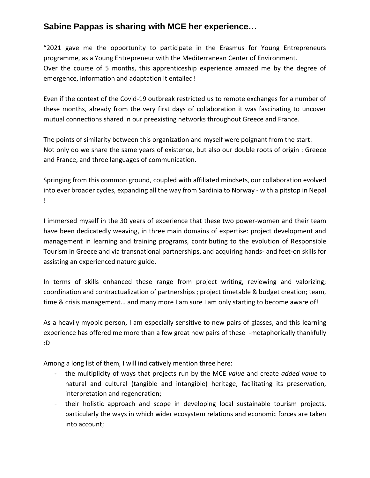## **Sabine Pappas is sharing with MCE her experience…**

"2021 gave me the opportunity to participate in the Erasmus for Young Entrepreneurs programme, as a Young Entrepreneur with the Mediterranean Center of Environment. Over the course of 5 months, this apprenticeship experience amazed me by the degree of emergence, information and adaptation it entailed!

Even if the context of the Covid-19 outbreak restricted us to remote exchanges for a number of these months, already from the very first days of collaboration it was fascinating to uncover mutual connections shared in our preexisting networks throughout Greece and France.

The points of similarity between this organization and myself were poignant from the start: Not only do we share the same years of existence, but also our double roots of origin : Greece and France, and three languages of communication.

Springing from this common ground, coupled with affiliated mindsets, our collaboration evolved into ever broader cycles, expanding all the way from Sardinia to Norway - with a pitstop in Nepal !

I immersed myself in the 30 years of experience that these two power-women and their team have been dedicatedly weaving, in three main domains of expertise: project development and management in learning and training programs, contributing to the evolution of Responsible Tourism in Greece and via transnational partnerships, and acquiring hands- and feet-on skills for assisting an experienced nature guide.

In terms of skills enhanced these range from project writing, reviewing and valorizing; coordination and contractualization of partnerships ; project timetable & budget creation; team, time & crisis management… and many more I am sure I am only starting to become aware of!

As a heavily myopic person, I am especially sensitive to new pairs of glasses, and this learning experience has offered me more than a few great new pairs of these -metaphorically thankfully :D

Among a long list of them, I will indicatively mention three here:

- the multiplicity of ways that projects run by the MCE *value* and create *added value* to natural and cultural (tangible and intangible) heritage, facilitating its preservation, interpretation and regeneration;
- their holistic approach and scope in developing local sustainable tourism projects, particularly the ways in which wider ecosystem relations and economic forces are taken into account;